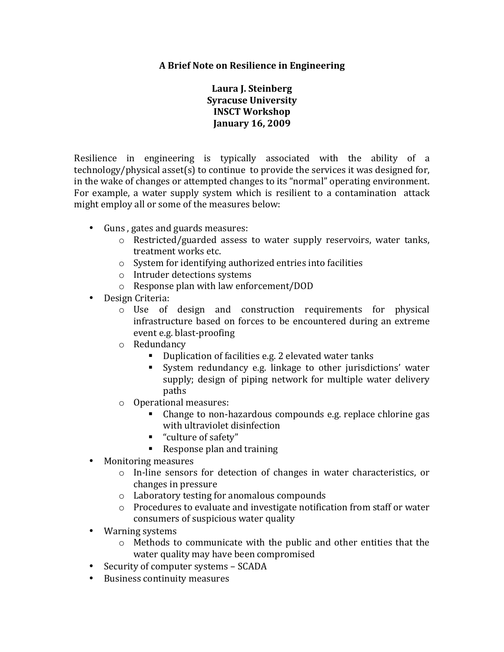## **A Brief Note on Resilience in Engineering**

## **Laura J. Steinberg Syracuse University INSCT Workshop January 16, 2009**

Resilience in engineering is typically associated with the ability of a  $technology/physical$  asset(s) to continue to provide the services it was designed for, in the wake of changes or attempted changes to its "normal" operating environment. For example, a water supply system which is resilient to a contamination attack might employ all or some of the measures below:

- Guns, gates and guards measures:
	- o Restricted/guarded assess to water supply reservoirs, water tanks, treatment works etc.
	- $\circ$  System for identifying authorized entries into facilities
	- o Intruder detections systems
	- $\circ$  Response plan with law enforcement/DOD
- Design Criteria:
	- $\circ$  Use of design and construction requirements for physical infrastructure based on forces to be encountered during an extreme event e.g. blast-proofing
	- o Redundancy
		- Duplication of facilities e.g. 2 elevated water tanks
		- System redundancy e.g. linkage to other jurisdictions' water supply; design of piping network for multiple water delivery paths
	- $\circ$  Operational measures:
		- Change to non-hazardous compounds e.g. replace chlorine gas with ultraviolet disinfection
		- "culture of safety"
		- $\blacksquare$  Response plan and training
- Monitoring measures
	- o In-line sensors for detection of changes in water characteristics, or changes in pressure
	- $\circ$  Laboratory testing for anomalous compounds
	- $\circ$  Procedures to evaluate and investigate notification from staff or water consumers of suspicious water quality
- Warning systems
	- $\circ$  Methods to communicate with the public and other entities that the water quality may have been compromised
- Security of computer systems SCADA
- Business continuity measures